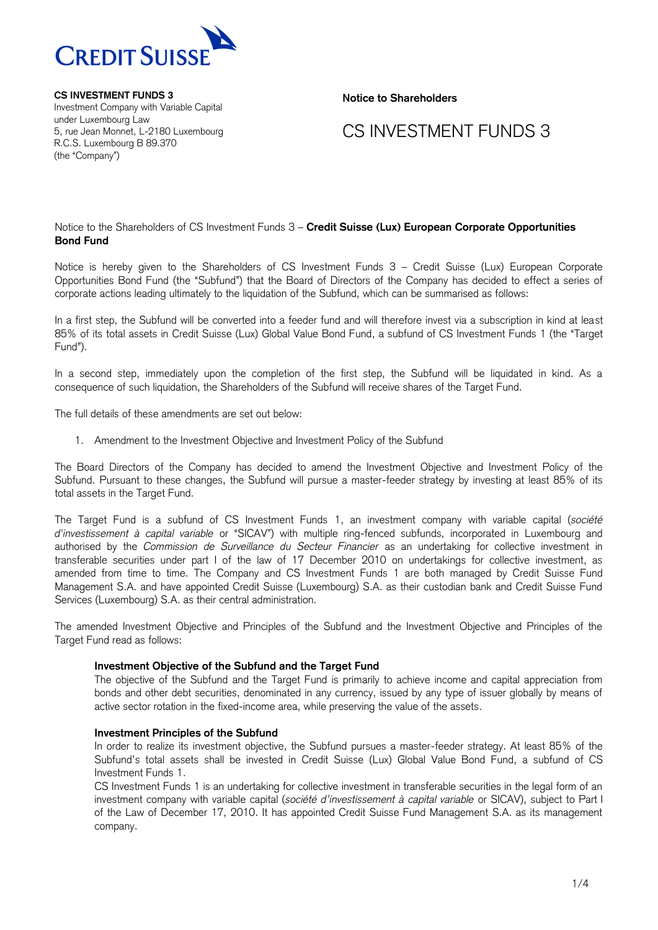

**CS INVESTMENT FUNDS 3** Investment Company with Variable Capital under Luxembourg Law 5, rue Jean Monnet, L-2180 Luxembourg R.C.S. Luxembourg B 89.370 (the "Company")

**Notice to Shareholders**

## CS INVESTMENT FUNDS 3

#### Notice to the Shareholders of CS Investment Funds 3 – **Credit Suisse (Lux) European Corporate Opportunities Bond Fund**

Notice is hereby given to the Shareholders of CS Investment Funds 3 – Credit Suisse (Lux) European Corporate Opportunities Bond Fund (the "Subfund") that the Board of Directors of the Company has decided to effect a series of corporate actions leading ultimately to the liquidation of the Subfund, which can be summarised as follows:

In a first step, the Subfund will be converted into a feeder fund and will therefore invest via a subscription in kind at least 85% of its total assets in Credit Suisse (Lux) Global Value Bond Fund, a subfund of CS Investment Funds 1 (the "Target Fund").

In a second step, immediately upon the completion of the first step, the Subfund will be liquidated in kind. As a consequence of such liquidation, the Shareholders of the Subfund will receive shares of the Target Fund.

The full details of these amendments are set out below:

1. Amendment to the Investment Objective and Investment Policy of the Subfund

The Board Directors of the Company has decided to amend the Investment Objective and Investment Policy of the Subfund. Pursuant to these changes, the Subfund will pursue a master-feeder strategy by investing at least 85% of its total assets in the Target Fund.

The Target Fund is a subfund of CS Investment Funds 1, an investment company with variable capital (*société d'investissement à capital variable* or "SICAV") with multiple ring-fenced subfunds, incorporated in Luxembourg and authorised by the *Commission de Surveillance du Secteur Financier* as an undertaking for collective investment in transferable securities under part I of the law of 17 December 2010 on undertakings for collective investment, as amended from time to time. The Company and CS Investment Funds 1 are both managed by Credit Suisse Fund Management S.A. and have appointed Credit Suisse (Luxembourg) S.A. as their custodian bank and Credit Suisse Fund Services (Luxembourg) S.A. as their central administration.

The amended Investment Objective and Principles of the Subfund and the Investment Objective and Principles of the Target Fund read as follows:

#### **Investment Objective of the Subfund and the Target Fund**

The objective of the Subfund and the Target Fund is primarily to achieve income and capital appreciation from bonds and other debt securities, denominated in any currency, issued by any type of issuer globally by means of active sector rotation in the fixed-income area, while preserving the value of the assets.

#### **Investment Principles of the Subfund**

In order to realize its investment objective, the Subfund pursues a master-feeder strategy. At least 85% of the Subfund's total assets shall be invested in Credit Suisse (Lux) Global Value Bond Fund, a subfund of CS Investment Funds 1.

CS Investment Funds 1 is an undertaking for collective investment in transferable securities in the legal form of an investment company with variable capital (*société d'investissement à capital variable* or SICAV), subject to Part I of the Law of December 17, 2010. It has appointed Credit Suisse Fund Management S.A. as its management company.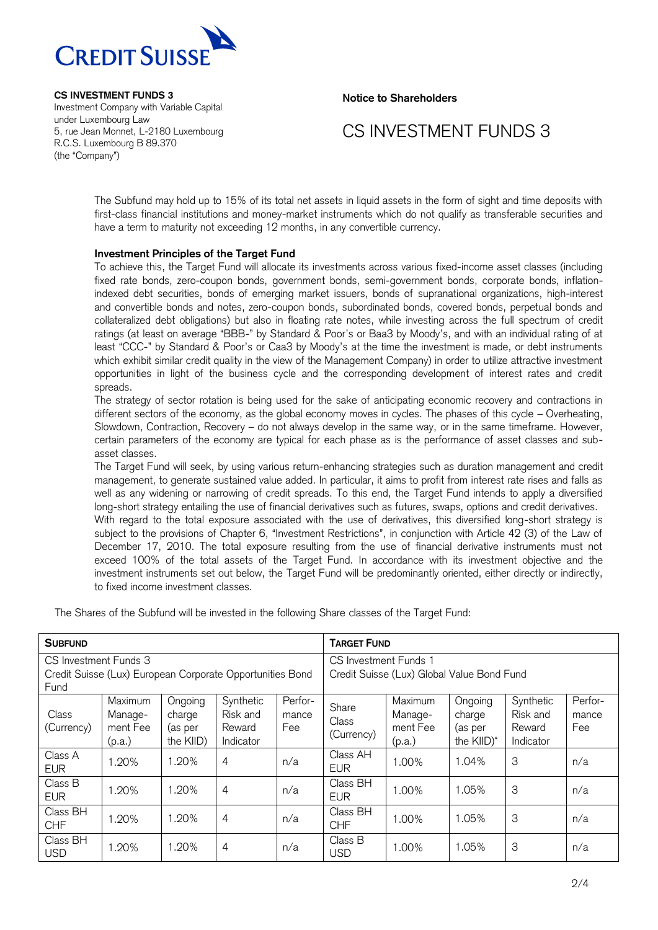

**CS INVESTMENT FUNDS 3** Investment Company with Variable Capital under Luxembourg Law 5, rue Jean Monnet, L-2180 Luxembourg R.C.S. Luxembourg B 89.370 (the "Company")

**Notice to Shareholders**

# CS INVESTMENT FUNDS 3

The Subfund may hold up to 15% of its total net assets in liquid assets in the form of sight and time deposits with first-class financial institutions and money-market instruments which do not qualify as transferable securities and have a term to maturity not exceeding 12 months, in any convertible currency.

### **Investment Principles of the Target Fund**

To achieve this, the Target Fund will allocate its investments across various fixed-income asset classes (including fixed rate bonds, zero-coupon bonds, government bonds, semi-government bonds, corporate bonds, inflationindexed debt securities, bonds of emerging market issuers, bonds of supranational organizations, high-interest and convertible bonds and notes, zero-coupon bonds, subordinated bonds, covered bonds, perpetual bonds and collateralized debt obligations) but also in floating rate notes, while investing across the full spectrum of credit ratings (at least on average "BBB-" by Standard & Poor's or Baa3 by Moody's, and with an individual rating of at least "CCC-" by Standard & Poor's or Caa3 by Moody's at the time the investment is made, or debt instruments which exhibit similar credit quality in the view of the Management Company) in order to utilize attractive investment opportunities in light of the business cycle and the corresponding development of interest rates and credit spreads.

The strategy of sector rotation is being used for the sake of anticipating economic recovery and contractions in different sectors of the economy, as the global economy moves in cycles. The phases of this cycle – Overheating, Slowdown, Contraction, Recovery – do not always develop in the same way, or in the same timeframe. However, certain parameters of the economy are typical for each phase as is the performance of asset classes and subasset classes.

The Target Fund will seek, by using various return-enhancing strategies such as duration management and credit management, to generate sustained value added. In particular, it aims to profit from interest rate rises and falls as well as any widening or narrowing of credit spreads. To this end, the Target Fund intends to apply a diversified long-short strategy entailing the use of financial derivatives such as futures, swaps, options and credit derivatives.

With regard to the total exposure associated with the use of derivatives, this diversified long-short strategy is subject to the provisions of Chapter 6, "Investment Restrictions", in conjunction with Article 42 (3) of the Law of December 17, 2010. The total exposure resulting from the use of financial derivative instruments must not exceed 100% of the total assets of the Target Fund. In accordance with its investment objective and the investment instruments set out below, the Target Fund will be predominantly oriented, either directly or indirectly, to fixed income investment classes.

The Shares of the Subfund will be invested in the following Share classes of the Target Fund:

| <b>SUBFUND</b>                                                                             |                                          |                                           |                                              |                         | <b>TARGET FUND</b>                                                  |                                          |                                            |                                              |                         |  |
|--------------------------------------------------------------------------------------------|------------------------------------------|-------------------------------------------|----------------------------------------------|-------------------------|---------------------------------------------------------------------|------------------------------------------|--------------------------------------------|----------------------------------------------|-------------------------|--|
| CS Investment Funds 3<br>Credit Suisse (Lux) European Corporate Opportunities Bond<br>Fund |                                          |                                           |                                              |                         | CS Investment Funds 1<br>Credit Suisse (Lux) Global Value Bond Fund |                                          |                                            |                                              |                         |  |
| Class<br>(Currency)                                                                        | Maximum<br>Manage-<br>ment Fee<br>(p.a.) | Ongoing<br>charge<br>(as per<br>the KIID) | Synthetic<br>Risk and<br>Reward<br>Indicator | Perfor-<br>mance<br>Fee | Share<br>Class<br>(Currency)                                        | Maximum<br>Manage-<br>ment Fee<br>(p.a.) | Ongoing<br>charge<br>(as per<br>the KIID)* | Synthetic<br>Risk and<br>Reward<br>Indicator | Perfor-<br>mance<br>Fee |  |
| Class A<br><b>EUR</b>                                                                      | 1.20%                                    | 1.20%                                     | $\overline{4}$                               | n/a                     | Class AH<br><b>EUR</b>                                              | 1.00%                                    | 1.04%                                      | 3                                            | n/a                     |  |
| Class B<br><b>EUR</b>                                                                      | 1.20%                                    | 1.20%                                     | 4                                            | n/a                     | Class BH<br><b>EUR</b>                                              | 1.00%                                    | 1.05%                                      | 3                                            | n/a                     |  |
| Class BH<br><b>CHF</b>                                                                     | 1.20%                                    | 1.20%                                     | $\overline{4}$                               | n/a                     | Class BH<br><b>CHF</b>                                              | 1.00%                                    | 1.05%                                      | 3                                            | n/a                     |  |
| Class BH<br><b>USD</b>                                                                     | 1.20%                                    | 1.20%                                     | $\overline{4}$                               | n/a                     | Class B<br><b>USD</b>                                               | 1.00%                                    | 1.05%                                      | 3                                            | n/a                     |  |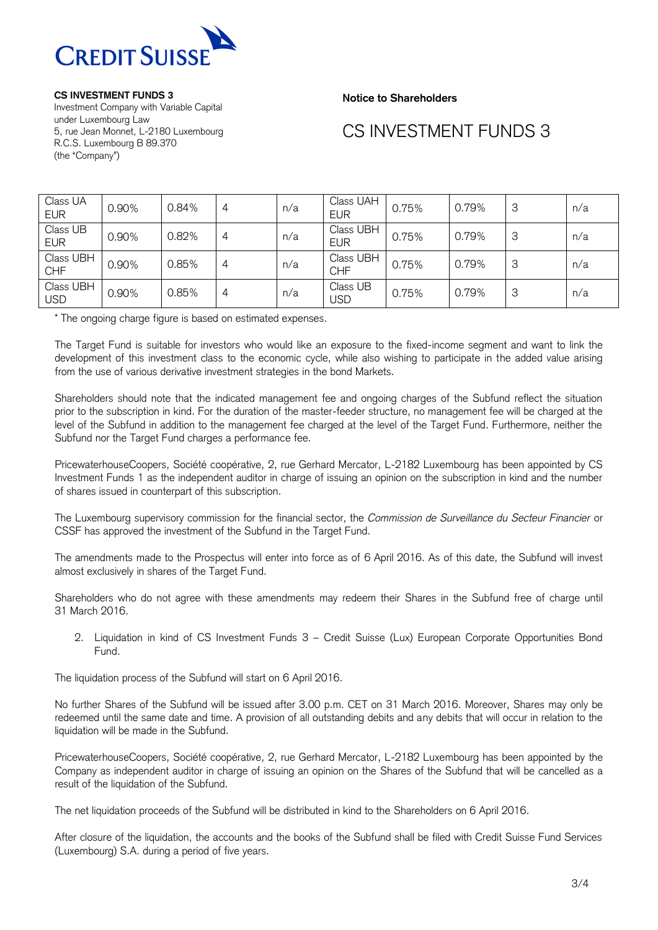

**CS INVESTMENT FUNDS 3**

Investment Company with Variable Capital under Luxembourg Law 5, rue Jean Monnet, L-2180 Luxembourg R.C.S. Luxembourg B 89.370 (the "Company")

**Notice to Shareholders**

# CS INVESTMENT FUNDS 3

| Class UA<br><b>EUR</b>  | 0.90% | 0.84% | 4 | n/a | Class UAH<br><b>EUR</b> | 0.75% | 0.79% | 3 | n/a |
|-------------------------|-------|-------|---|-----|-------------------------|-------|-------|---|-----|
| Class UB<br><b>EUR</b>  | 0.90% | 0.82% | 4 | n/a | Class UBH<br><b>EUR</b> | 0.75% | 0.79% | 3 | n/a |
| Class UBH<br><b>CHF</b> | 0.90% | 0.85% | 4 | n/a | Class UBH<br><b>CHF</b> | 0.75% | 0.79% | 3 | n/a |
| Class UBH<br><b>USD</b> | 0.90% | 0.85% | 4 | n/a | Class UB<br><b>USD</b>  | 0.75% | 0.79% | 3 | n/a |

\* The ongoing charge figure is based on estimated expenses.

The Target Fund is suitable for investors who would like an exposure to the fixed-income segment and want to link the development of this investment class to the economic cycle, while also wishing to participate in the added value arising from the use of various derivative investment strategies in the bond Markets.

Shareholders should note that the indicated management fee and ongoing charges of the Subfund reflect the situation prior to the subscription in kind. For the duration of the master-feeder structure, no management fee will be charged at the level of the Subfund in addition to the management fee charged at the level of the Target Fund. Furthermore, neither the Subfund nor the Target Fund charges a performance fee.

PricewaterhouseCoopers, Société coopérative, 2, rue Gerhard Mercator, L-2182 Luxembourg has been appointed by CS Investment Funds 1 as the independent auditor in charge of issuing an opinion on the subscription in kind and the number of shares issued in counterpart of this subscription.

The Luxembourg supervisory commission for the financial sector, the *Commission de Surveillance du Secteur Financier* or CSSF has approved the investment of the Subfund in the Target Fund.

The amendments made to the Prospectus will enter into force as of 6 April 2016. As of this date, the Subfund will invest almost exclusively in shares of the Target Fund.

Shareholders who do not agree with these amendments may redeem their Shares in the Subfund free of charge until 31 March 2016.

2. Liquidation in kind of CS Investment Funds 3 – Credit Suisse (Lux) European Corporate Opportunities Bond Fund.

The liquidation process of the Subfund will start on 6 April 2016.

No further Shares of the Subfund will be issued after 3.00 p.m. CET on 31 March 2016. Moreover, Shares may only be redeemed until the same date and time. A provision of all outstanding debits and any debits that will occur in relation to the liquidation will be made in the Subfund.

PricewaterhouseCoopers, Société coopérative, 2, rue Gerhard Mercator, L-2182 Luxembourg has been appointed by the Company as independent auditor in charge of issuing an opinion on the Shares of the Subfund that will be cancelled as a result of the liquidation of the Subfund.

The net liquidation proceeds of the Subfund will be distributed in kind to the Shareholders on 6 April 2016.

After closure of the liquidation, the accounts and the books of the Subfund shall be filed with Credit Suisse Fund Services (Luxembourg) S.A. during a period of five years.